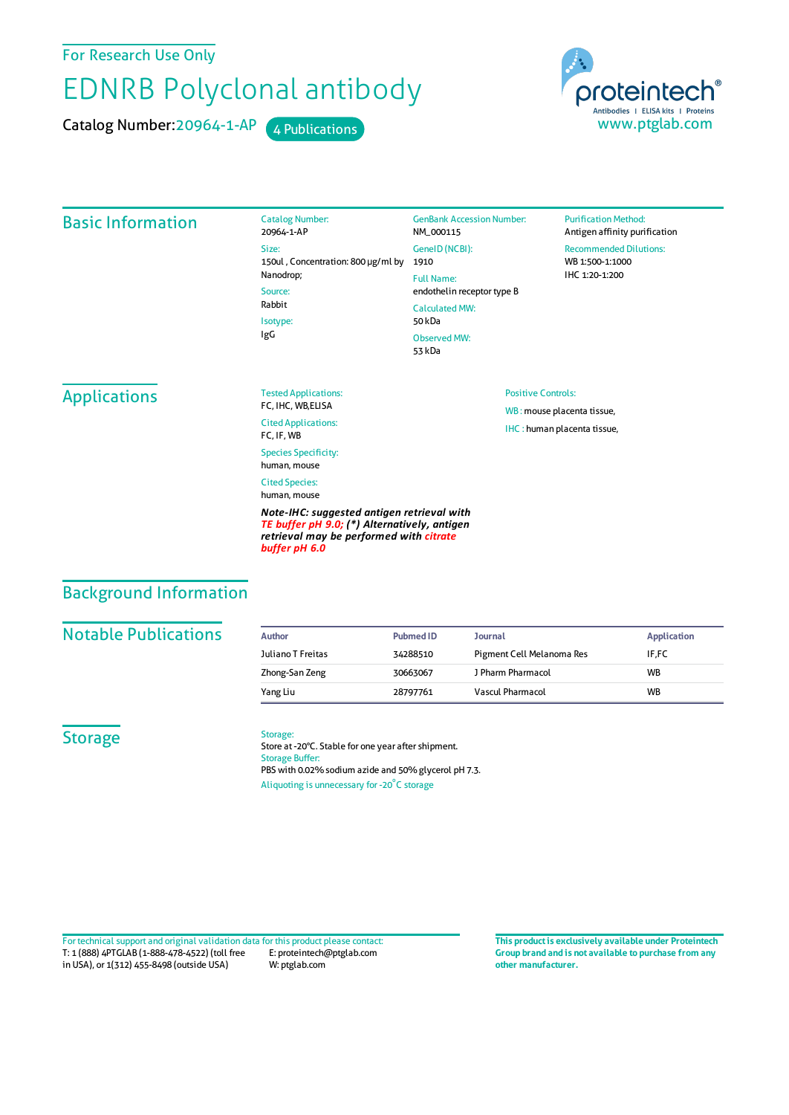## For Research Use Only

# EDNRB Polyclonal antibody

Catalog Number: 20964-1-AP 4 Publications



#### Basic Information

Catalog Number: 20964-1-AP Size: 150ul , Concentration: 800 μg/ml by 1910 Nanodrop; Source: Rabbit Isotype: IgG

GenBank Accession Number: NM\_000115 GeneID(NCBI): Full Name: endothelin receptor type B CalculatedMW: 50 kDa Observed MW: 53 kDa

Positive Controls:

WB : mouse placenta tissue, IHC : human placenta tissue,

#### **Purification Method:** Antigen affinity purification

Recommended Dilutions: WB 1:500-1:1000 IHC 1:20-1:200

## Applications

Tested Applications: FC, IHC, WB,ELISA Cited Applications: FC, IF, WB Species Specificity: human, mouse Cited Species: human, mouse

*Note-IHC: suggested antigen retrieval with TE buffer pH 9.0; (\*) Alternatively, antigen retrieval may be performed with citrate buffer pH 6.0*

# Background Information

#### **Notable Publications**

| Author            | <b>Pubmed ID</b> | Journal                   | <b>Application</b> |
|-------------------|------------------|---------------------------|--------------------|
| Juliano T Freitas | 34288510         | Pigment Cell Melanoma Res | IF.FC              |
| Zhong-San Zeng    | 30663067         | J Pharm Pharmacol         | <b>WB</b>          |
| Yang Liu          | 28797761         | Vascul Pharmacol          | <b>WB</b>          |

## **Storage**

#### Storage:

Store at -20°C. Stable for one year after shipment. Storage Buffer: PBS with 0.02% sodium azide and 50% glycerol pH 7.3. Aliquoting is unnecessary for -20<sup>°</sup>C storage

T: 1 (888) 4PTGLAB (1-888-478-4522) (toll free in USA), or 1(312) 455-8498 (outside USA) E: proteintech@ptglab.com W: ptglab.com Fortechnical support and original validation data forthis product please contact: **This productis exclusively available under Proteintech**

**Group brand and is not available to purchase from any other manufacturer.**